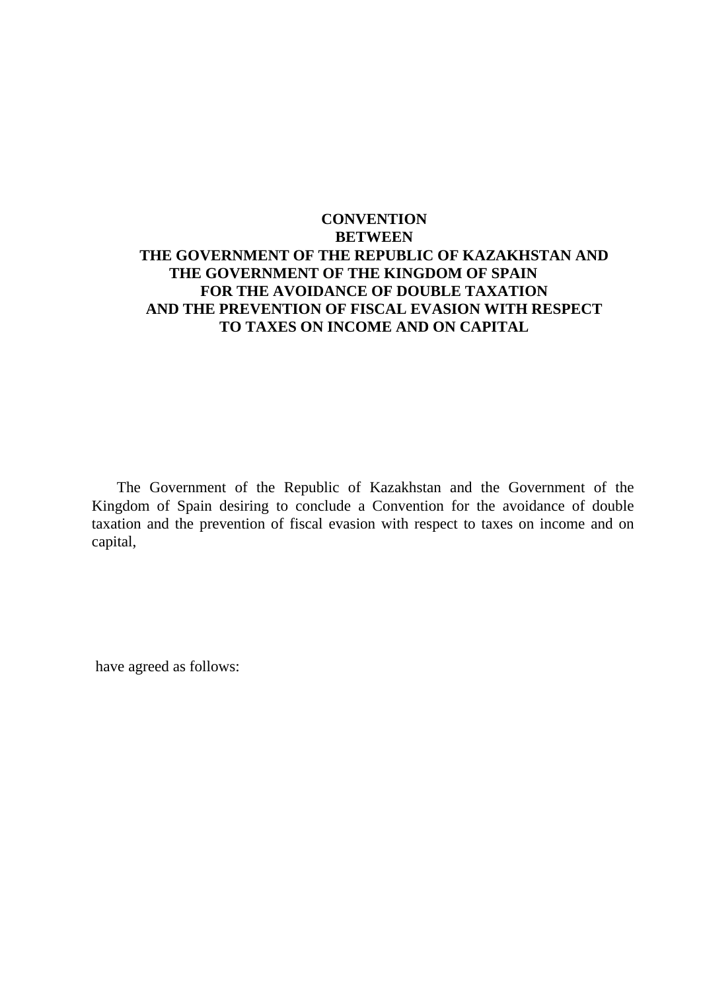## **CONVENTION BETWEEN THE GOVERNMENT OF THE REPUBLIC OF KAZAKHSTAN AND THE GOVERNMENT OF THE KINGDOM OF SPAIN FOR THE AVOIDANCE OF DOUBLE TAXATION AND THE PREVENTION OF FISCAL EVASION WITH RESPECT TO TAXES ON INCOME AND ON CAPITAL**

The Government of the Republic of Kazakhstan and the Government of the Kingdom of Spain desiring to conclude a Convention for the avoidance of double taxation and the prevention of fiscal evasion with respect to taxes on income and on capital,

have agreed as follows: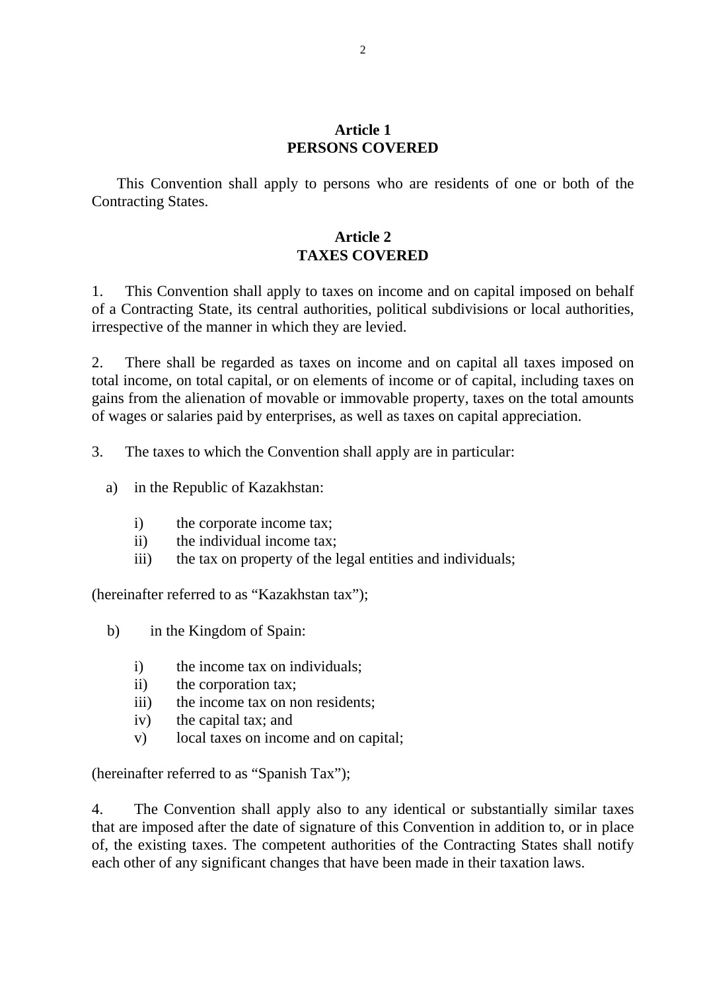#### **Article 1 PERSONS COVERED**

This Convention shall apply to persons who are residents of one or both of the Contracting States.

### **Article 2 TAXES COVERED**

1. This Convention shall apply to taxes on income and on capital imposed on behalf of a Contracting State, its central authorities, political subdivisions or local authorities, irrespective of the manner in which they are levied.

2. There shall be regarded as taxes on income and on capital all taxes imposed on total income, on total capital, or on elements of income or of capital, including taxes on gains from the alienation of movable or immovable property, taxes on the total amounts of wages or salaries paid by enterprises, as well as taxes on capital appreciation.

3. The taxes to which the Convention shall apply are in particular:

- a) in the Republic of Kazakhstan:
	- i) the corporate income tax;
	- ii) the individual income tax;
	- iii) the tax on property of the legal entities and individuals;

(hereinafter referred to as "Kazakhstan tax");

- b) in the Kingdom of Spain:
	- i) the income tax on individuals;
	- ii) the corporation tax;
	- iii) the income tax on non residents;
	- iv) the capital tax; and
	- v) local taxes on income and on capital;

(hereinafter referred to as "Spanish Tax");

4. The Convention shall apply also to any identical or substantially similar taxes that are imposed after the date of signature of this Convention in addition to, or in place of, the existing taxes. The competent authorities of the Contracting States shall notify each other of any significant changes that have been made in their taxation laws.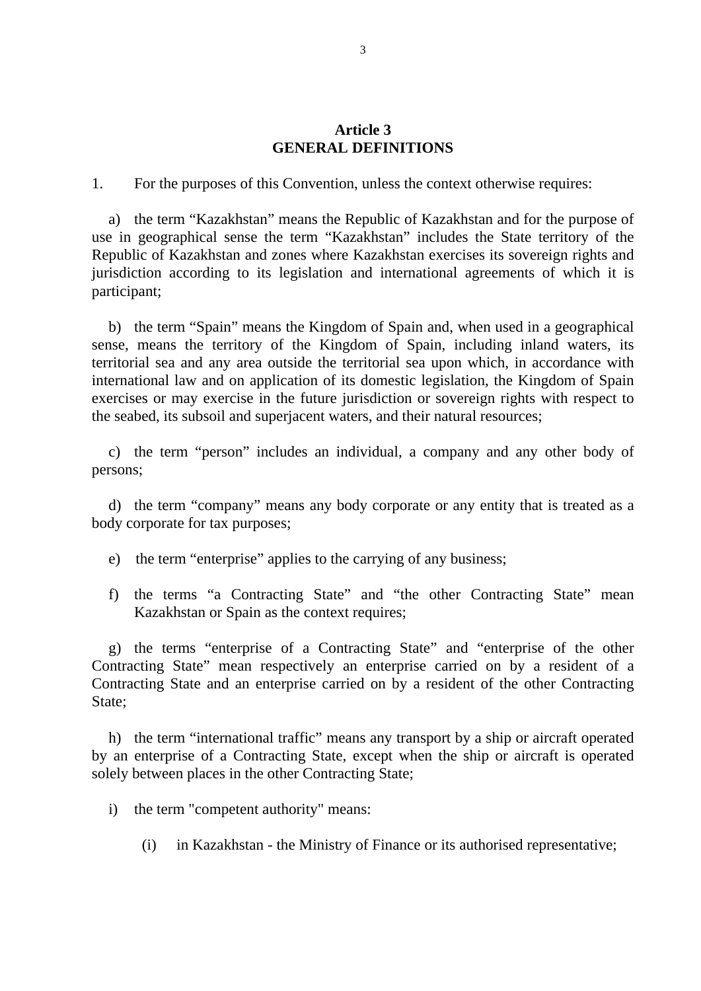#### **Article 3 GENERAL DEFINITIONS**

1. For the purposes of this Convention, unless the context otherwise requires:

a) the term "Kazakhstan" means the Republic of Kazakhstan and for the purpose of use in geographical sense the term "Kazakhstan" includes the State territory of the Republic of Kazakhstan and zones where Kazakhstan exercises its sovereign rights and jurisdiction according to its legislation and international agreements of which it is participant;

b) the term "Spain" means the Kingdom of Spain and, when used in a geographical sense, means the territory of the Kingdom of Spain, including inland waters, its territorial sea and any area outside the territorial sea upon which, in accordance with international law and on application of its domestic legislation, the Kingdom of Spain exercises or may exercise in the future jurisdiction or sovereign rights with respect to the seabed, its subsoil and superjacent waters, and their natural resources;

c) the term "person" includes an individual, a company and any other body of persons;

d) the term "company" means any body corporate or any entity that is treated as a body corporate for tax purposes;

e) the term "enterprise" applies to the carrying of any business;

f) the terms "a Contracting State" and "the other Contracting State" mean Kazakhstan or Spain as the context requires;

g) the terms "enterprise of a Contracting State" and "enterprise of the other Contracting State" mean respectively an enterprise carried on by a resident of a Contracting State and an enterprise carried on by a resident of the other Contracting State;

h) the term "international traffic" means any transport by a ship or aircraft operated by an enterprise of a Contracting State, except when the ship or aircraft is operated solely between places in the other Contracting State;

- i) the term "competent authority" means:
	- (i) in Kazakhstan the Ministry of Finance or its authorised representative;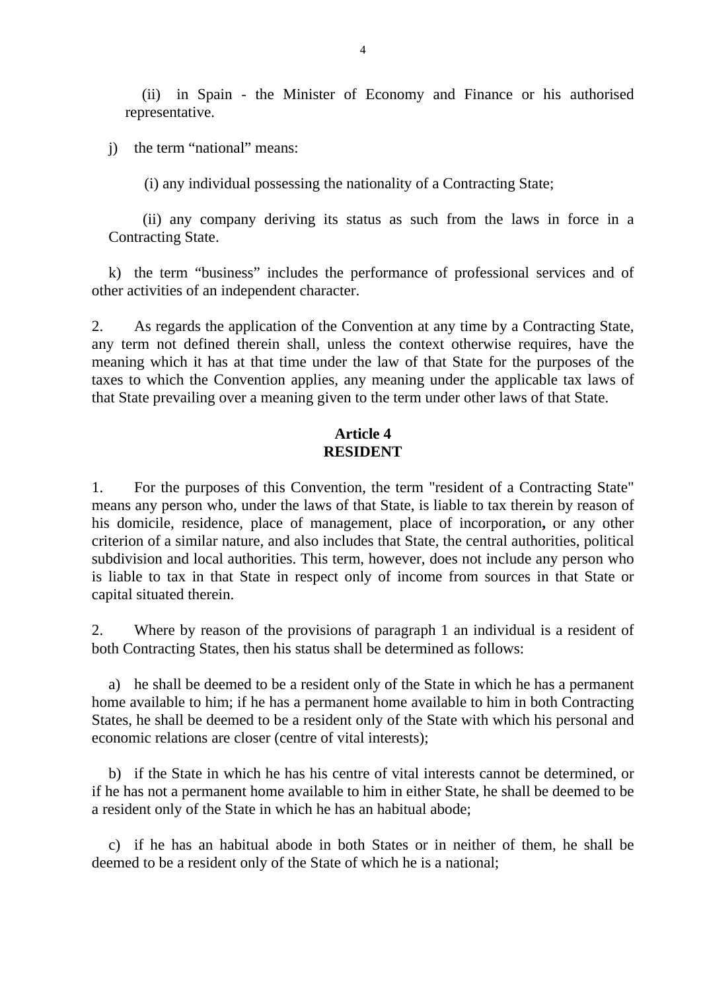(ii) in Spain - the Minister of Economy and Finance or his authorised representative.

j) the term "national" means:

(i) any individual possessing the nationality of a Contracting State;

 (ii) any company deriving its status as such from the laws in force in a Contracting State.

k) the term "business" includes the performance of professional services and of other activities of an independent character.

2. As regards the application of the Convention at any time by a Contracting State, any term not defined therein shall, unless the context otherwise requires, have the meaning which it has at that time under the law of that State for the purposes of the taxes to which the Convention applies, any meaning under the applicable tax laws of that State prevailing over a meaning given to the term under other laws of that State.

### **Article 4 RESIDENT**

1. For the purposes of this Convention, the term "resident of a Contracting State" means any person who, under the laws of that State, is liable to tax therein by reason of his domicile, residence, place of management, place of incorporation**,** or any other criterion of a similar nature, and also includes that State, the central authorities, political subdivision and local authorities. This term, however, does not include any person who is liable to tax in that State in respect only of income from sources in that State or capital situated therein.

2. Where by reason of the provisions of paragraph 1 an individual is a resident of both Contracting States, then his status shall be determined as follows:

a) he shall be deemed to be a resident only of the State in which he has a permanent home available to him; if he has a permanent home available to him in both Contracting States, he shall be deemed to be a resident only of the State with which his personal and economic relations are closer (centre of vital interests);

b) if the State in which he has his centre of vital interests cannot be determined, or if he has not a permanent home available to him in either State, he shall be deemed to be a resident only of the State in which he has an habitual abode;

c) if he has an habitual abode in both States or in neither of them, he shall be deemed to be a resident only of the State of which he is a national;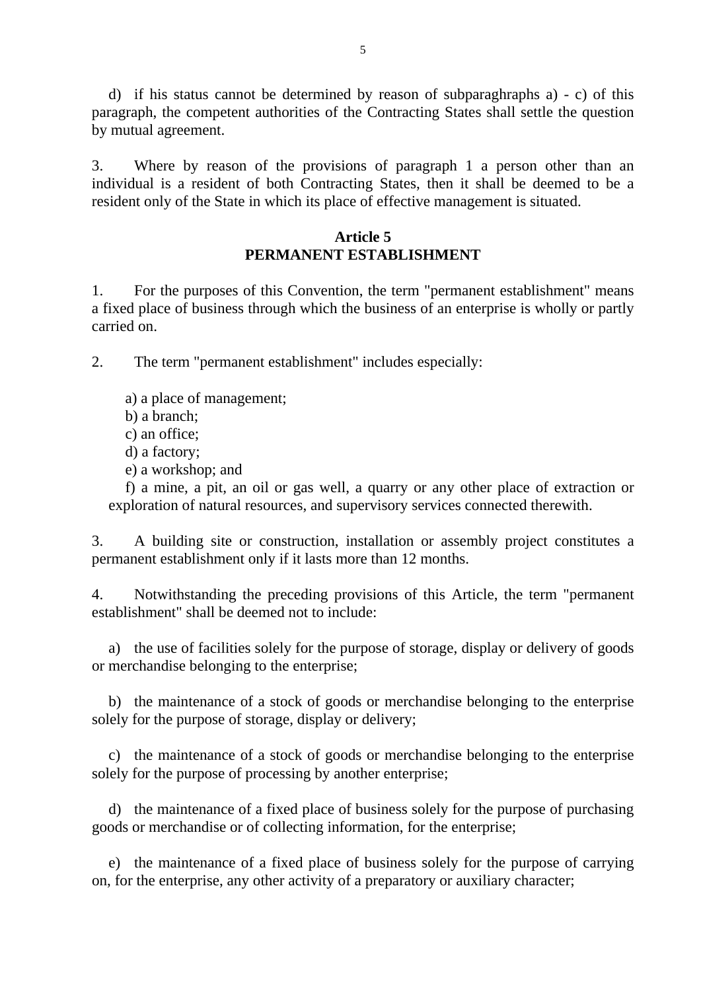d) if his status cannot be determined by reason of subparaghraphs a) - c) of this paragraph, the competent authorities of the Contracting States shall settle the question by mutual agreement.

3. Where by reason of the provisions of paragraph 1 a person other than an individual is a resident of both Contracting States, then it shall be deemed to be a resident only of the State in which its place of effective management is situated.

#### **Article 5 PERMANENT ESTABLISHMENT**

1. For the purposes of this Convention, the term "permanent establishment" means a fixed place of business through which the business of an enterprise is wholly or partly carried on.

2. The term "permanent establishment" includes especially:

- a) a place of management;
- b) a branch;

c) an office;

d) a factory;

e) a workshop; and

f) a mine, a pit, an oil or gas well, a quarry or any other place of extraction or exploration of natural resources, and supervisory services connected therewith.

3. A building site or construction, installation or assembly project constitutes a permanent establishment only if it lasts more than 12 months.

4. Notwithstanding the preceding provisions of this Article, the term "permanent establishment" shall be deemed not to include:

a) the use of facilities solely for the purpose of storage, display or delivery of goods or merchandise belonging to the enterprise;

b) the maintenance of a stock of goods or merchandise belonging to the enterprise solely for the purpose of storage, display or delivery;

c) the maintenance of a stock of goods or merchandise belonging to the enterprise solely for the purpose of processing by another enterprise;

d) the maintenance of a fixed place of business solely for the purpose of purchasing goods or merchandise or of collecting information, for the enterprise;

e) the maintenance of a fixed place of business solely for the purpose of carrying on, for the enterprise, any other activity of a preparatory or auxiliary character;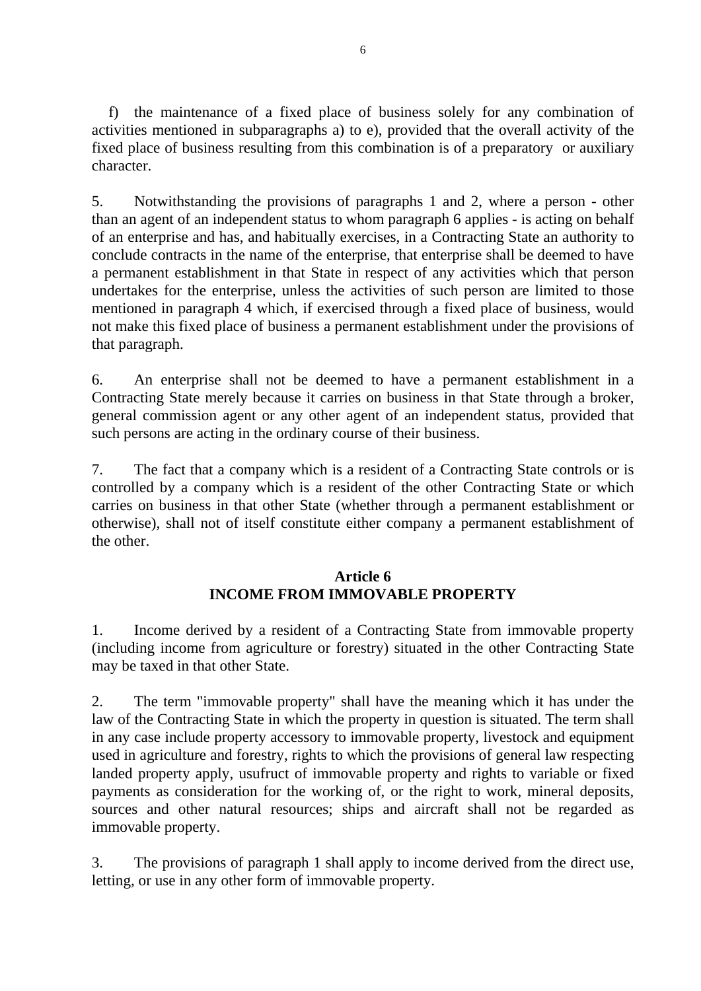f) the maintenance of a fixed place of business solely for any combination of activities mentioned in subparagraphs a) to e), provided that the overall activity of the fixed place of business resulting from this combination is of a preparatory or auxiliary character.

5. Notwithstanding the provisions of paragraphs 1 and 2, where a person - other than an agent of an independent status to whom paragraph 6 applies - is acting on behalf of an enterprise and has, and habitually exercises, in a Contracting State an authority to conclude contracts in the name of the enterprise, that enterprise shall be deemed to have a permanent establishment in that State in respect of any activities which that person undertakes for the enterprise, unless the activities of such person are limited to those mentioned in paragraph 4 which, if exercised through a fixed place of business, would not make this fixed place of business a permanent establishment under the provisions of that paragraph.

6. An enterprise shall not be deemed to have a permanent establishment in a Contracting State merely because it carries on business in that State through a broker, general commission agent or any other agent of an independent status, provided that such persons are acting in the ordinary course of their business.

7. The fact that a company which is a resident of a Contracting State controls or is controlled by a company which is a resident of the other Contracting State or which carries on business in that other State (whether through a permanent establishment or otherwise), shall not of itself constitute either company a permanent establishment of the other.

## **Article 6 INCOME FROM IMMOVABLE PROPERTY**

1. Income derived by a resident of a Contracting State from immovable property (including income from agriculture or forestry) situated in the other Contracting State may be taxed in that other State.

2. The term "immovable property" shall have the meaning which it has under the law of the Contracting State in which the property in question is situated. The term shall in any case include property accessory to immovable property, livestock and equipment used in agriculture and forestry, rights to which the provisions of general law respecting landed property apply, usufruct of immovable property and rights to variable or fixed payments as consideration for the working of, or the right to work, mineral deposits, sources and other natural resources; ships and aircraft shall not be regarded as immovable property.

3. The provisions of paragraph 1 shall apply to income derived from the direct use, letting, or use in any other form of immovable property.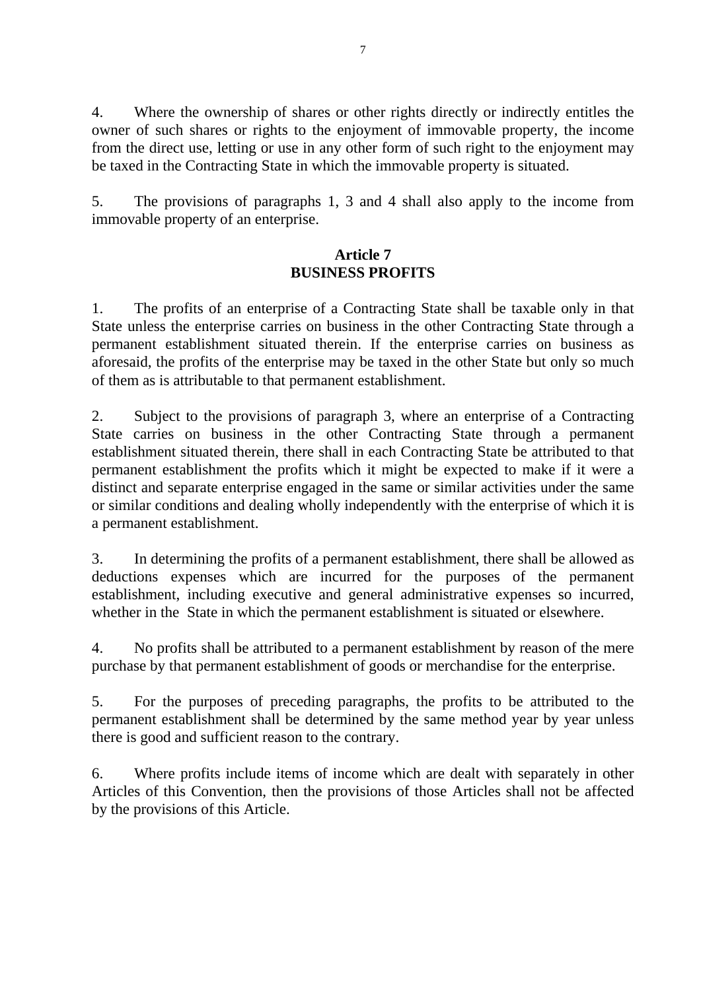4. Where the ownership of shares or other rights directly or indirectly entitles the owner of such shares or rights to the enjoyment of immovable property, the income from the direct use, letting or use in any other form of such right to the enjoyment may be taxed in the Contracting State in which the immovable property is situated.

5. The provisions of paragraphs 1, 3 and 4 shall also apply to the income from immovable property of an enterprise.

#### **Article 7 BUSINESS PROFITS**

1. The profits of an enterprise of a Contracting State shall be taxable only in that State unless the enterprise carries on business in the other Contracting State through a permanent establishment situated therein. If the enterprise carries on business as aforesaid, the profits of the enterprise may be taxed in the other State but only so much of them as is attributable to that permanent establishment.

2. Subject to the provisions of paragraph 3, where an enterprise of a Contracting State carries on business in the other Contracting State through a permanent establishment situated therein, there shall in each Contracting State be attributed to that permanent establishment the profits which it might be expected to make if it were a distinct and separate enterprise engaged in the same or similar activities under the same or similar conditions and dealing wholly independently with the enterprise of which it is a permanent establishment.

3. In determining the profits of a permanent establishment, there shall be allowed as deductions expenses which are incurred for the purposes of the permanent establishment, including executive and general administrative expenses so incurred, whether in the State in which the permanent establishment is situated or elsewhere.

4. No profits shall be attributed to a permanent establishment by reason of the mere purchase by that permanent establishment of goods or merchandise for the enterprise.

5. For the purposes of preceding paragraphs, the profits to be attributed to the permanent establishment shall be determined by the same method year by year unless there is good and sufficient reason to the contrary.

6. Where profits include items of income which are dealt with separately in other Articles of this Convention, then the provisions of those Articles shall not be affected by the provisions of this Article.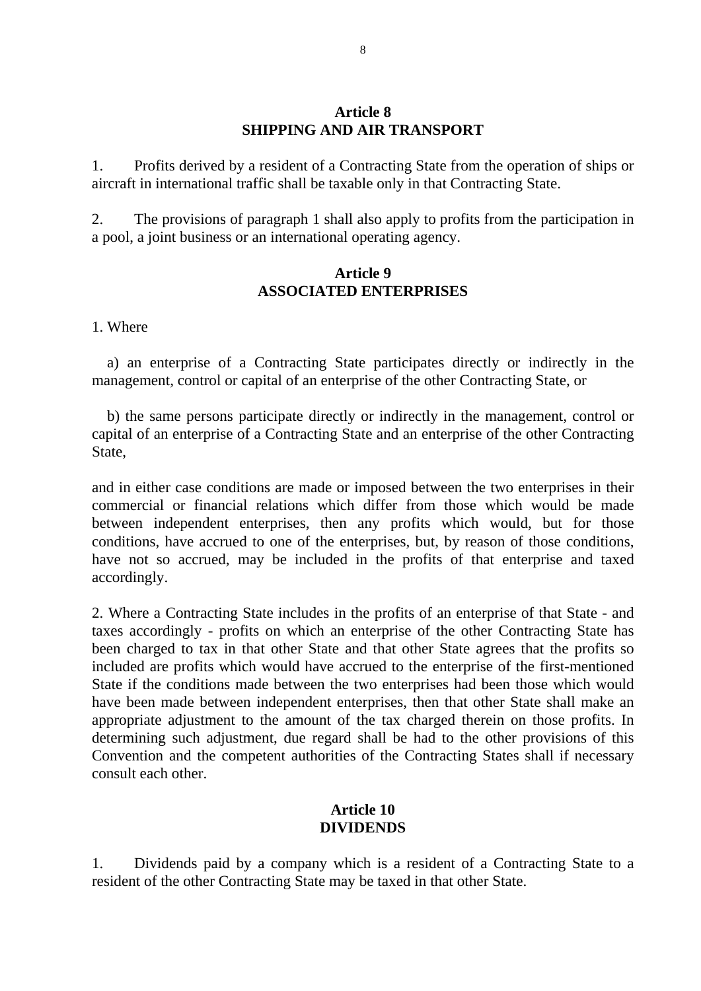#### **Article 8 SHIPPING AND AIR TRANSPORT**

1. Profits derived by a resident of a Contracting State from the operation of ships or aircraft in international traffic shall be taxable only in that Contracting State.

2. The provisions of paragraph 1 shall also apply to profits from the participation in a pool, a joint business or an international operating agency.

#### **Article 9 ASSOCIATED ENTERPRISES**

#### 1. Where

 a) an enterprise of a Contracting State participates directly or indirectly in the management, control or capital of an enterprise of the other Contracting State, or

 b) the same persons participate directly or indirectly in the management, control or capital of an enterprise of a Contracting State and an enterprise of the other Contracting State,

and in either case conditions are made or imposed between the two enterprises in their commercial or financial relations which differ from those which would be made between independent enterprises, then any profits which would, but for those conditions, have accrued to one of the enterprises, but, by reason of those conditions, have not so accrued, may be included in the profits of that enterprise and taxed accordingly.

2. Where a Contracting State includes in the profits of an enterprise of that State - and taxes accordingly - profits on which an enterprise of the other Contracting State has been charged to tax in that other State and that other State agrees that the profits so included are profits which would have accrued to the enterprise of the first-mentioned State if the conditions made between the two enterprises had been those which would have been made between independent enterprises, then that other State shall make an appropriate adjustment to the amount of the tax charged therein on those profits. In determining such adjustment, due regard shall be had to the other provisions of this Convention and the competent authorities of the Contracting States shall if necessary consult each other.

#### **Article 10 DIVIDENDS**

1. Dividends paid by a company which is a resident of a Contracting State to a resident of the other Contracting State may be taxed in that other State.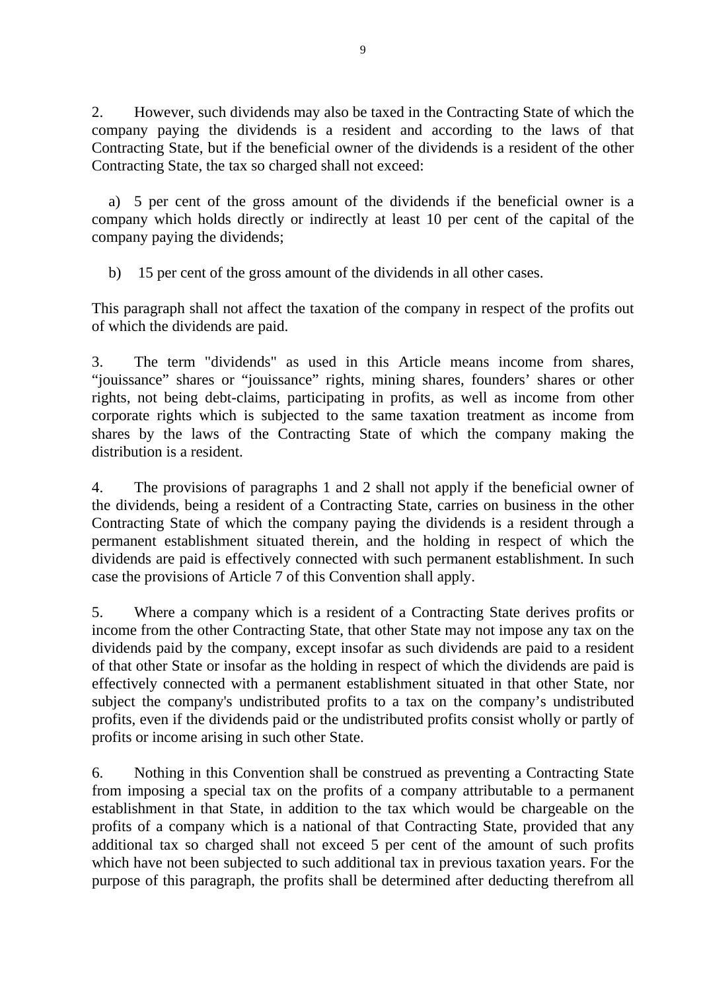2. However, such dividends may also be taxed in the Contracting State of which the company paying the dividends is a resident and according to the laws of that Contracting State, but if the beneficial owner of the dividends is a resident of the other Contracting State, the tax so charged shall not exceed:

a) 5 per cent of the gross amount of the dividends if the beneficial owner is a company which holds directly or indirectly at least 10 per cent of the capital of the company paying the dividends;

b) 15 per cent of the gross amount of the dividends in all other cases.

This paragraph shall not affect the taxation of the company in respect of the profits out of which the dividends are paid.

3. The term "dividends" as used in this Article means income from shares, "jouissance" shares or "jouissance" rights, mining shares, founders' shares or other rights, not being debt-claims, participating in profits, as well as income from other corporate rights which is subjected to the same taxation treatment as income from shares by the laws of the Contracting State of which the company making the distribution is a resident.

4. The provisions of paragraphs 1 and 2 shall not apply if the beneficial owner of the dividends, being a resident of a Contracting State, carries on business in the other Contracting State of which the company paying the dividends is a resident through a permanent establishment situated therein, and the holding in respect of which the dividends are paid is effectively connected with such permanent establishment. In such case the provisions of Article 7 of this Convention shall apply.

5. Where a company which is a resident of a Contracting State derives profits or income from the other Contracting State, that other State may not impose any tax on the dividends paid by the company, except insofar as such dividends are paid to a resident of that other State or insofar as the holding in respect of which the dividends are paid is effectively connected with a permanent establishment situated in that other State, nor subject the company's undistributed profits to a tax on the company's undistributed profits, even if the dividends paid or the undistributed profits consist wholly or partly of profits or income arising in such other State.

6. Nothing in this Convention shall be construed as preventing a Contracting State from imposing a special tax on the profits of a company attributable to a permanent establishment in that State, in addition to the tax which would be chargeable on the profits of a company which is a national of that Contracting State, provided that any additional tax so charged shall not exceed 5 per cent of the amount of such profits which have not been subjected to such additional tax in previous taxation years. For the purpose of this paragraph, the profits shall be determined after deducting therefrom all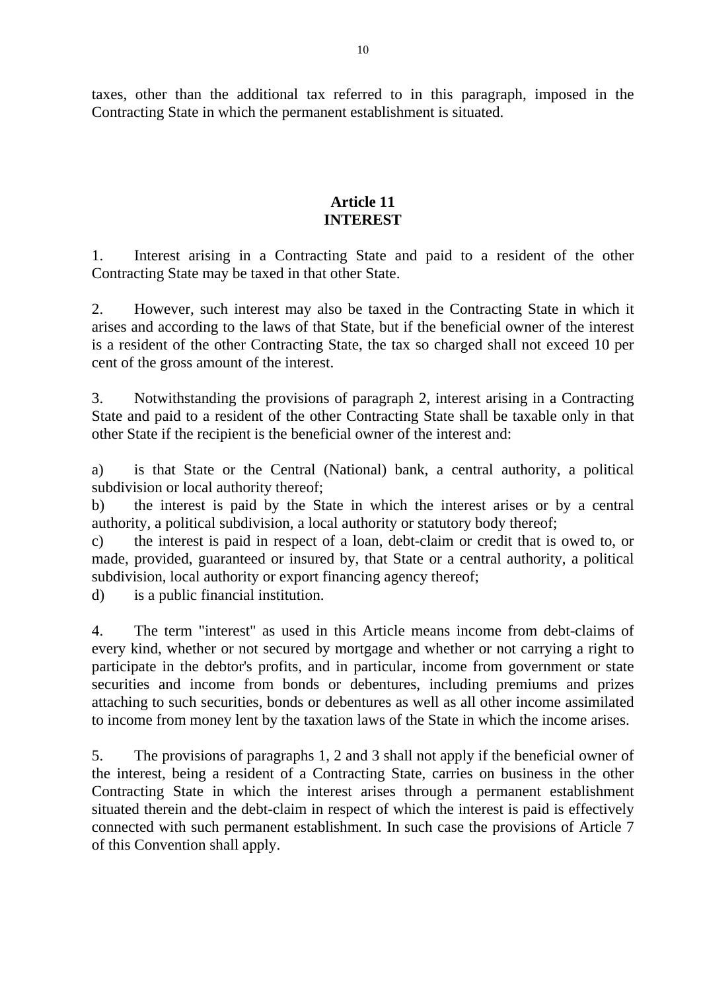taxes, other than the additional tax referred to in this paragraph, imposed in the Contracting State in which the permanent establishment is situated.

## **Article 11 INTEREST**

1. Interest arising in a Contracting State and paid to a resident of the other Contracting State may be taxed in that other State.

2. However, such interest may also be taxed in the Contracting State in which it arises and according to the laws of that State, but if the beneficial owner of the interest is a resident of the other Contracting State, the tax so charged shall not exceed 10 per cent of the gross amount of the interest.

3. Notwithstanding the provisions of paragraph 2, interest arising in a Contracting State and paid to a resident of the other Contracting State shall be taxable only in that other State if the recipient is the beneficial owner of the interest and:

a) is that State or the Central (National) bank, a central authority, a political subdivision or local authority thereof;

b) the interest is paid by the State in which the interest arises or by a central authority, a political subdivision, a local authority or statutory body thereof;

c) the interest is paid in respect of a loan, debt-claim or credit that is owed to, or made, provided, guaranteed or insured by, that State or a central authority, a political subdivision, local authority or export financing agency thereof;

d) is a public financial institution.

4. The term "interest" as used in this Article means income from debt-claims of every kind, whether or not secured by mortgage and whether or not carrying a right to participate in the debtor's profits, and in particular, income from government or state securities and income from bonds or debentures, including premiums and prizes attaching to such securities, bonds or debentures as well as all other income assimilated to income from money lent by the taxation laws of the State in which the income arises.

5. The provisions of paragraphs 1, 2 and 3 shall not apply if the beneficial owner of the interest, being a resident of a Contracting State, carries on business in the other Contracting State in which the interest arises through a permanent establishment situated therein and the debt-claim in respect of which the interest is paid is effectively connected with such permanent establishment. In such case the provisions of Article 7 of this Convention shall apply.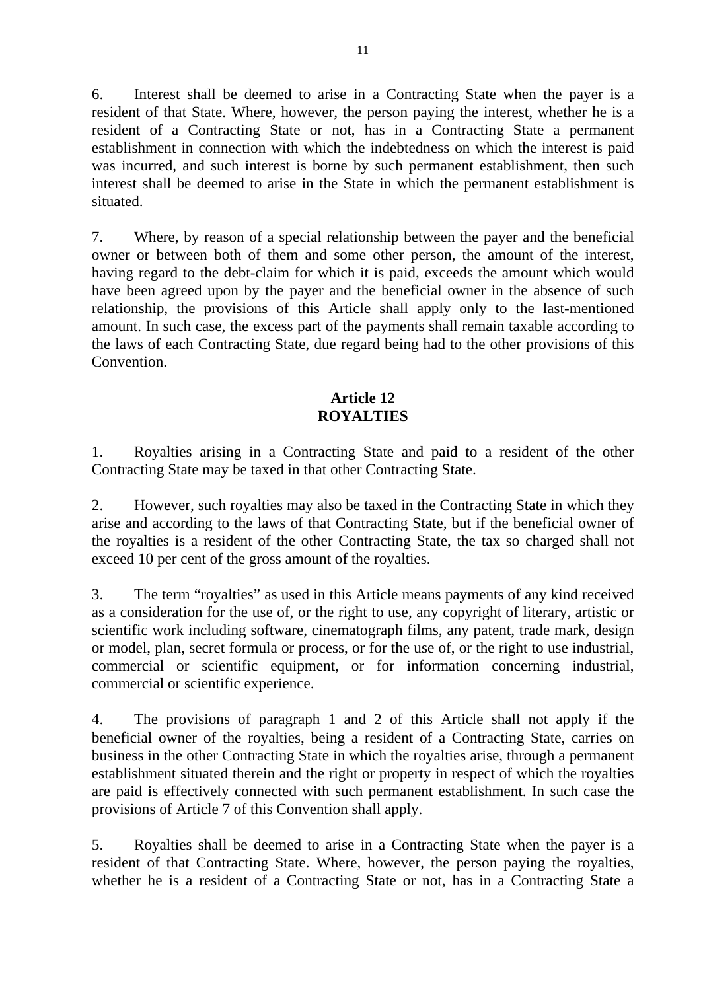6. Interest shall be deemed to arise in a Contracting State when the payer is a resident of that State. Where, however, the person paying the interest, whether he is a resident of a Contracting State or not, has in a Contracting State a permanent establishment in connection with which the indebtedness on which the interest is paid was incurred, and such interest is borne by such permanent establishment, then such interest shall be deemed to arise in the State in which the permanent establishment is situated.

7. Where, by reason of a special relationship between the payer and the beneficial owner or between both of them and some other person, the amount of the interest, having regard to the debt-claim for which it is paid, exceeds the amount which would have been agreed upon by the payer and the beneficial owner in the absence of such relationship, the provisions of this Article shall apply only to the last-mentioned amount. In such case, the excess part of the payments shall remain taxable according to the laws of each Contracting State, due regard being had to the other provisions of this Convention.

### **Article 12 ROYALTIES**

1. Royalties arising in a Contracting State and paid to a resident of the other Contracting State may be taxed in that other Contracting State.

2. However, such royalties may also be taxed in the Contracting State in which they arise and according to the laws of that Contracting State, but if the beneficial owner of the royalties is a resident of the other Contracting State, the tax so charged shall not exceed 10 per cent of the gross amount of the royalties.

3. The term "royalties" as used in this Article means payments of any kind received as a consideration for the use of, or the right to use, any copyright of literary, artistic or scientific work including software, cinematograph films, any patent, trade mark, design or model, plan, secret formula or process, or for the use of, or the right to use industrial, commercial or scientific equipment, or for information concerning industrial, commercial or scientific experience.

4. The provisions of paragraph 1 and 2 of this Article shall not apply if the beneficial owner of the royalties, being a resident of a Contracting State, carries on business in the other Contracting State in which the royalties arise, through a permanent establishment situated therein and the right or property in respect of which the royalties are paid is effectively connected with such permanent establishment. In such case the provisions of Article 7 of this Convention shall apply.

5. Royalties shall be deemed to arise in a Contracting State when the payer is a resident of that Contracting State. Where, however, the person paying the royalties, whether he is a resident of a Contracting State or not, has in a Contracting State a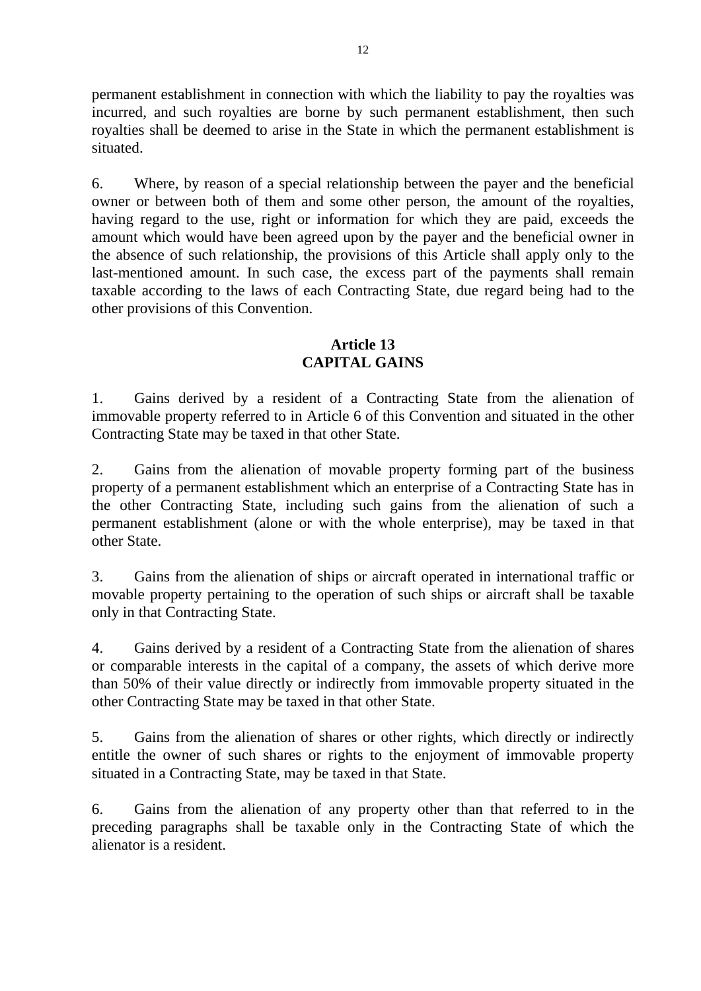permanent establishment in connection with which the liability to pay the royalties was incurred, and such royalties are borne by such permanent establishment, then such royalties shall be deemed to arise in the State in which the permanent establishment is situated.

6. Where, by reason of a special relationship between the payer and the beneficial owner or between both of them and some other person, the amount of the royalties, having regard to the use, right or information for which they are paid, exceeds the amount which would have been agreed upon by the payer and the beneficial owner in the absence of such relationship, the provisions of this Article shall apply only to the last-mentioned amount. In such case, the excess part of the payments shall remain taxable according to the laws of each Contracting State, due regard being had to the other provisions of this Convention.

## **Article 13 CAPITAL GAINS**

1. Gains derived by a resident of a Contracting State from the alienation of immovable property referred to in Article 6 of this Convention and situated in the other Contracting State may be taxed in that other State.

2. Gains from the alienation of movable property forming part of the business property of a permanent establishment which an enterprise of a Contracting State has in the other Contracting State, including such gains from the alienation of such a permanent establishment (alone or with the whole enterprise), may be taxed in that other State.

3. Gains from the alienation of ships or aircraft operated in international traffic or movable property pertaining to the operation of such ships or aircraft shall be taxable only in that Contracting State.

4. Gains derived by a resident of a Contracting State from the alienation of shares or comparable interests in the capital of a company, the assets of which derive more than 50% of their value directly or indirectly from immovable property situated in the other Contracting State may be taxed in that other State.

5. Gains from the alienation of shares or other rights, which directly or indirectly entitle the owner of such shares or rights to the enjoyment of immovable property situated in a Contracting State, may be taxed in that State.

6. Gains from the alienation of any property other than that referred to in the preceding paragraphs shall be taxable only in the Contracting State of which the alienator is a resident.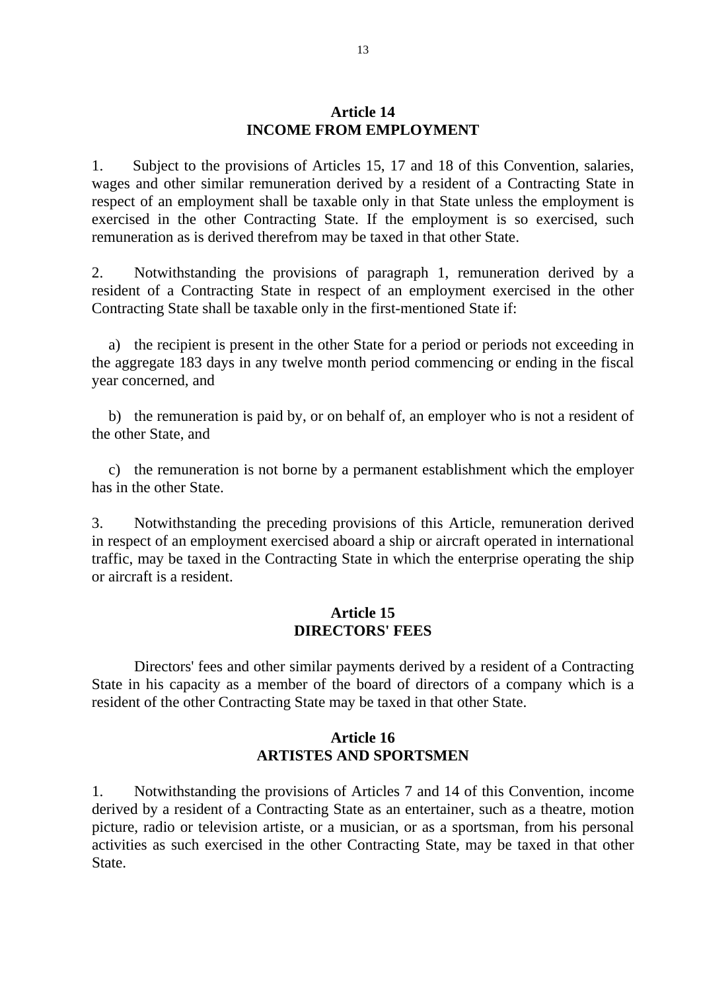#### **Article 14 INCOME FROM EMPLOYMENT**

1. Subject to the provisions of Articles 15, 17 and 18 of this Convention, salaries, wages and other similar remuneration derived by a resident of a Contracting State in respect of an employment shall be taxable only in that State unless the employment is exercised in the other Contracting State. If the employment is so exercised, such remuneration as is derived therefrom may be taxed in that other State.

2. Notwithstanding the provisions of paragraph 1, remuneration derived by a resident of a Contracting State in respect of an employment exercised in the other Contracting State shall be taxable only in the first-mentioned State if:

a) the recipient is present in the other State for a period or periods not exceeding in the aggregate 183 days in any twelve month period commencing or ending in the fiscal year concerned, and

b) the remuneration is paid by, or on behalf of, an employer who is not a resident of the other State, and

c) the remuneration is not borne by a permanent establishment which the employer has in the other State.

3. Notwithstanding the preceding provisions of this Article, remuneration derived in respect of an employment exercised aboard a ship or aircraft operated in international traffic, may be taxed in the Contracting State in which the enterprise operating the ship or aircraft is a resident.

#### **Article 15 DIRECTORS' FEES**

 Directors' fees and other similar payments derived by a resident of a Contracting State in his capacity as a member of the board of directors of a company which is a resident of the other Contracting State may be taxed in that other State.

## **Article 16 ARTISTES AND SPORTSMEN**

1. Notwithstanding the provisions of Articles 7 and 14 of this Convention, income derived by a resident of a Contracting State as an entertainer, such as a theatre, motion picture, radio or television artiste, or a musician, or as a sportsman, from his personal activities as such exercised in the other Contracting State, may be taxed in that other State.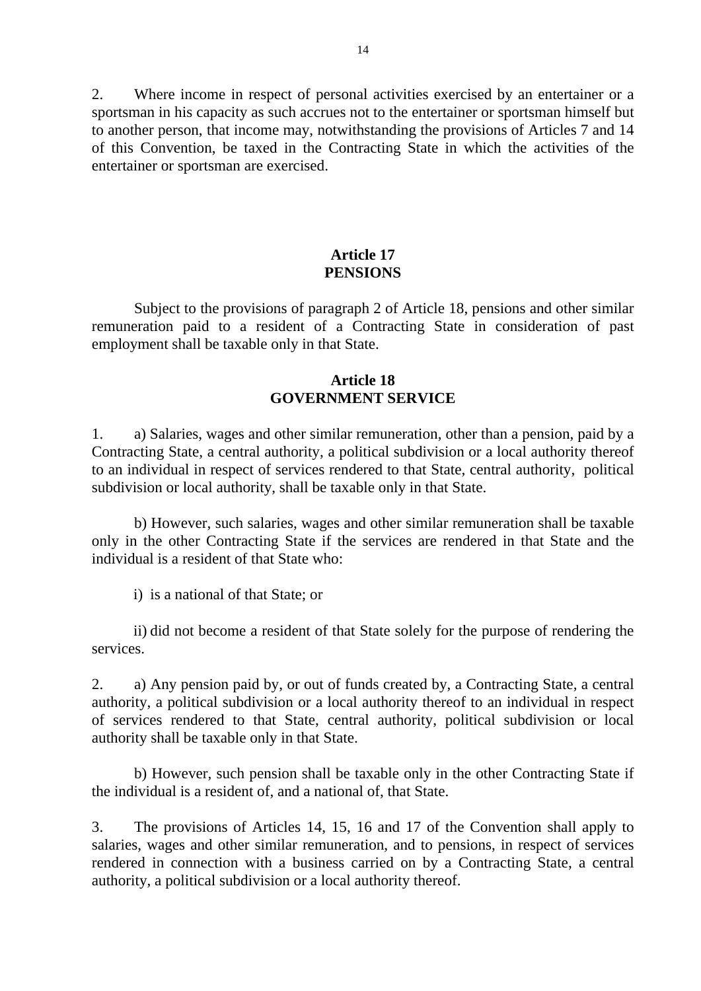2. Where income in respect of personal activities exercised by an entertainer or a sportsman in his capacity as such accrues not to the entertainer or sportsman himself but to another person, that income may, notwithstanding the provisions of Articles 7 and 14 of this Convention, be taxed in the Contracting State in which the activities of the entertainer or sportsman are exercised.

#### **Article 17 PENSIONS**

Subject to the provisions of paragraph 2 of Article 18, pensions and other similar remuneration paid to a resident of a Contracting State in consideration of past employment shall be taxable only in that State.

#### **Article 18 GOVERNMENT SERVICE**

1. a) Salaries, wages and other similar remuneration, other than a pension, paid by a Contracting State, a central authority, a political subdivision or a local authority thereof to an individual in respect of services rendered to that State, central authority, political subdivision or local authority, shall be taxable only in that State.

b) However, such salaries, wages and other similar remuneration shall be taxable only in the other Contracting State if the services are rendered in that State and the individual is a resident of that State who:

i) is a national of that State; or

ii) did not become a resident of that State solely for the purpose of rendering the services.

2. a) Any pension paid by, or out of funds created by, a Contracting State, a central authority, a political subdivision or a local authority thereof to an individual in respect of services rendered to that State, central authority, political subdivision or local authority shall be taxable only in that State.

 b) However, such pension shall be taxable only in the other Contracting State if the individual is a resident of, and a national of, that State.

3. The provisions of Articles 14, 15, 16 and 17 of the Convention shall apply to salaries, wages and other similar remuneration, and to pensions, in respect of services rendered in connection with a business carried on by a Contracting State, a central authority, a political subdivision or a local authority thereof.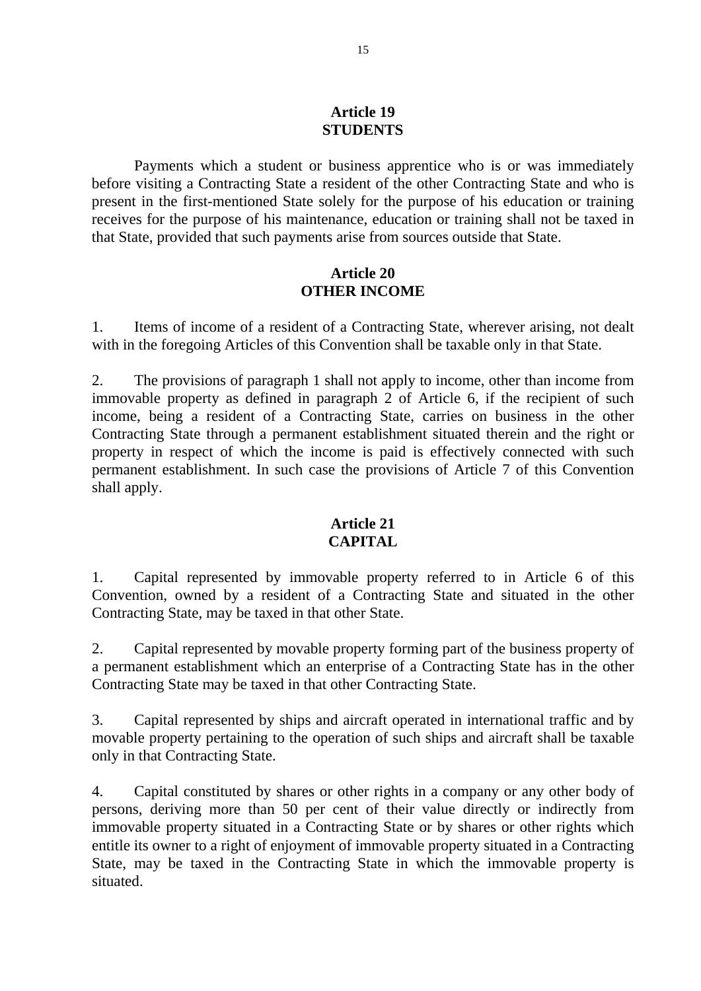#### **Article 19 STUDENTS**

Payments which a student or business apprentice who is or was immediately before visiting a Contracting State a resident of the other Contracting State and who is present in the first-mentioned State solely for the purpose of his education or training receives for the purpose of his maintenance, education or training shall not be taxed in that State, provided that such payments arise from sources outside that State.

## **Article 20 OTHER INCOME**

1. Items of income of a resident of a Contracting State, wherever arising, not dealt with in the foregoing Articles of this Convention shall be taxable only in that State.

2. The provisions of paragraph 1 shall not apply to income, other than income from immovable property as defined in paragraph 2 of Article 6, if the recipient of such income, being a resident of a Contracting State, carries on business in the other Contracting State through a permanent establishment situated therein and the right or property in respect of which the income is paid is effectively connected with such permanent establishment. In such case the provisions of Article 7 of this Convention shall apply.

## **Article 21 CAPITAL**

1. Capital represented by immovable property referred to in Article 6 of this Convention, owned by a resident of a Contracting State and situated in the other Contracting State, may be taxed in that other State.

2. Capital represented by movable property forming part of the business property of a permanent establishment which an enterprise of a Contracting State has in the other Contracting State may be taxed in that other Contracting State.

3. Capital represented by ships and aircraft operated in international traffic and by movable property pertaining to the operation of such ships and aircraft shall be taxable only in that Contracting State.

4. Capital constituted by shares or other rights in a company or any other body of persons, deriving more than 50 per cent of their value directly or indirectly from immovable property situated in a Contracting State or by shares or other rights which entitle its owner to a right of enjoyment of immovable property situated in a Contracting State, may be taxed in the Contracting State in which the immovable property is situated.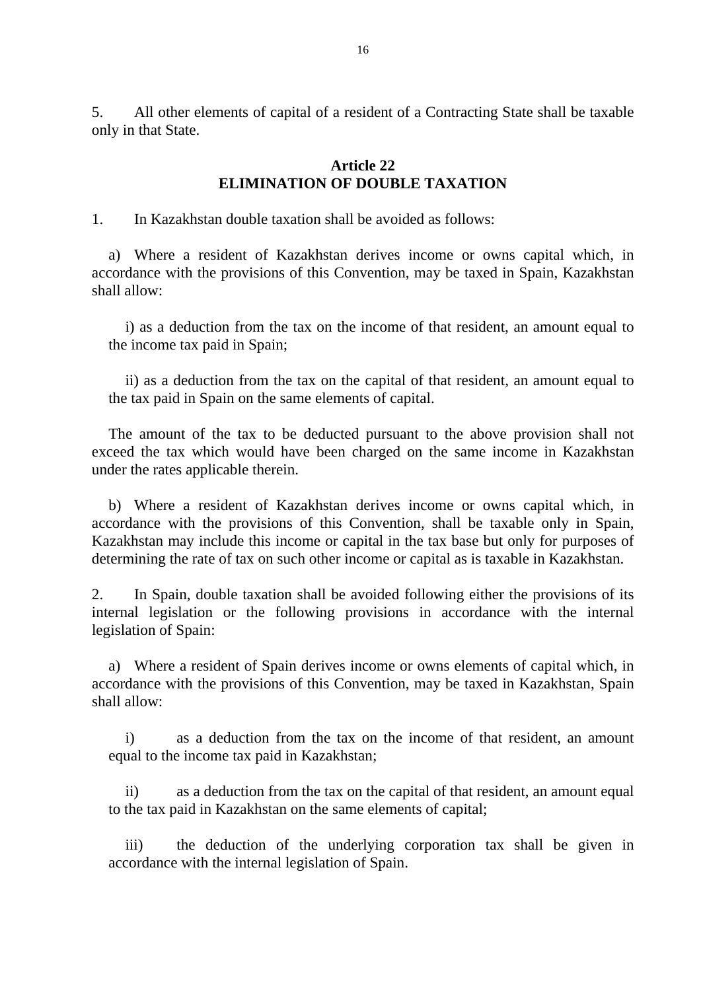5. All other elements of capital of a resident of a Contracting State shall be taxable only in that State.

#### **Article 22 ELIMINATION OF DOUBLE TAXATION**

1. In Kazakhstan double taxation shall be avoided as follows:

a) Where a resident of Kazakhstan derives income or owns capital which, in accordance with the provisions of this Convention, may be taxed in Spain, Kazakhstan shall allow:

i) as a deduction from the tax on the income of that resident, an amount equal to the income tax paid in Spain;

ii) as a deduction from the tax on the capital of that resident, an amount equal to the tax paid in Spain on the same elements of capital.

The amount of the tax to be deducted pursuant to the above provision shall not exceed the tax which would have been charged on the same income in Kazakhstan under the rates applicable therein.

b) Where a resident of Kazakhstan derives income or owns capital which, in accordance with the provisions of this Convention, shall be taxable only in Spain, Kazakhstan may include this income or capital in the tax base but only for purposes of determining the rate of tax on such other income or capital as is taxable in Kazakhstan.

2. In Spain, double taxation shall be avoided following either the provisions of its internal legislation or the following provisions in accordance with the internal legislation of Spain:

a) Where a resident of Spain derives income or owns elements of capital which, in accordance with the provisions of this Convention, may be taxed in Kazakhstan, Spain shall allow:

i) as a deduction from the tax on the income of that resident, an amount equal to the income tax paid in Kazakhstan;

ii) as a deduction from the tax on the capital of that resident, an amount equal to the tax paid in Kazakhstan on the same elements of capital;

iii) the deduction of the underlying corporation tax shall be given in accordance with the internal legislation of Spain.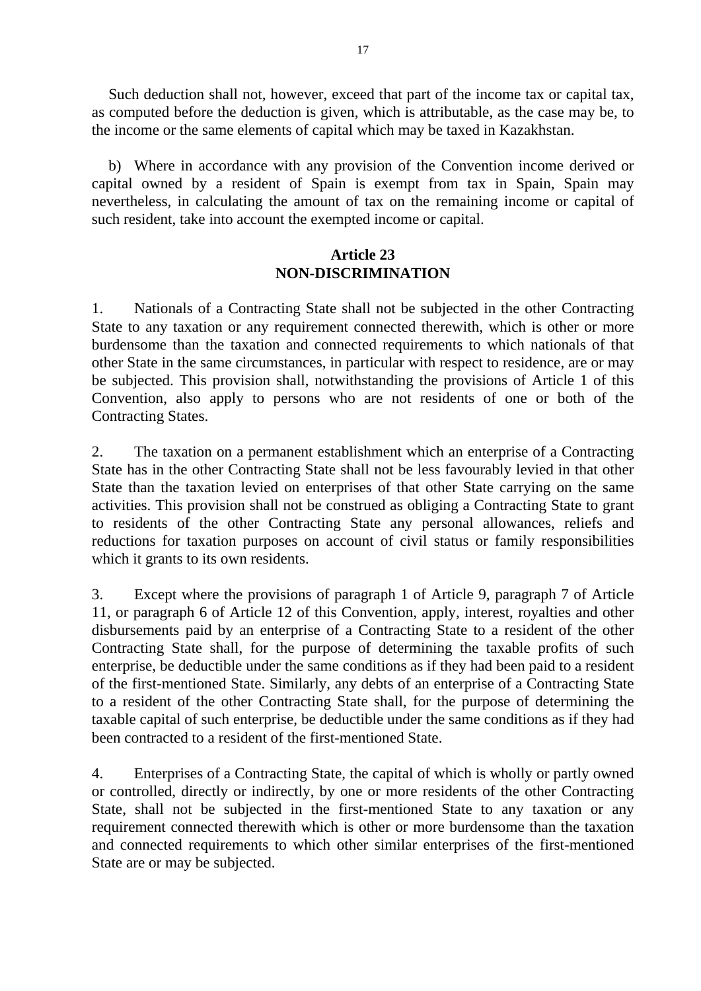Such deduction shall not, however, exceed that part of the income tax or capital tax, as computed before the deduction is given, which is attributable, as the case may be, to the income or the same elements of capital which may be taxed in Kazakhstan.

b) Where in accordance with any provision of the Convention income derived or capital owned by a resident of Spain is exempt from tax in Spain, Spain may nevertheless, in calculating the amount of tax on the remaining income or capital of such resident, take into account the exempted income or capital.

#### **Article 23 NON-DISCRIMINATION**

1. Nationals of a Contracting State shall not be subjected in the other Contracting State to any taxation or any requirement connected therewith, which is other or more burdensome than the taxation and connected requirements to which nationals of that other State in the same circumstances, in particular with respect to residence, are or may be subjected. This provision shall, notwithstanding the provisions of Article 1 of this Convention, also apply to persons who are not residents of one or both of the Contracting States.

2. The taxation on a permanent establishment which an enterprise of a Contracting State has in the other Contracting State shall not be less favourably levied in that other State than the taxation levied on enterprises of that other State carrying on the same activities. This provision shall not be construed as obliging a Contracting State to grant to residents of the other Contracting State any personal allowances, reliefs and reductions for taxation purposes on account of civil status or family responsibilities which it grants to its own residents.

3. Except where the provisions of paragraph 1 of Article 9, paragraph 7 of Article 11, or paragraph 6 of Article 12 of this Convention, apply, interest, royalties and other disbursements paid by an enterprise of a Contracting State to a resident of the other Contracting State shall, for the purpose of determining the taxable profits of such enterprise, be deductible under the same conditions as if they had been paid to a resident of the first-mentioned State. Similarly, any debts of an enterprise of a Contracting State to a resident of the other Contracting State shall, for the purpose of determining the taxable capital of such enterprise, be deductible under the same conditions as if they had been contracted to a resident of the first-mentioned State.

4. Enterprises of a Contracting State, the capital of which is wholly or partly owned or controlled, directly or indirectly, by one or more residents of the other Contracting State, shall not be subjected in the first-mentioned State to any taxation or any requirement connected therewith which is other or more burdensome than the taxation and connected requirements to which other similar enterprises of the first-mentioned State are or may be subjected.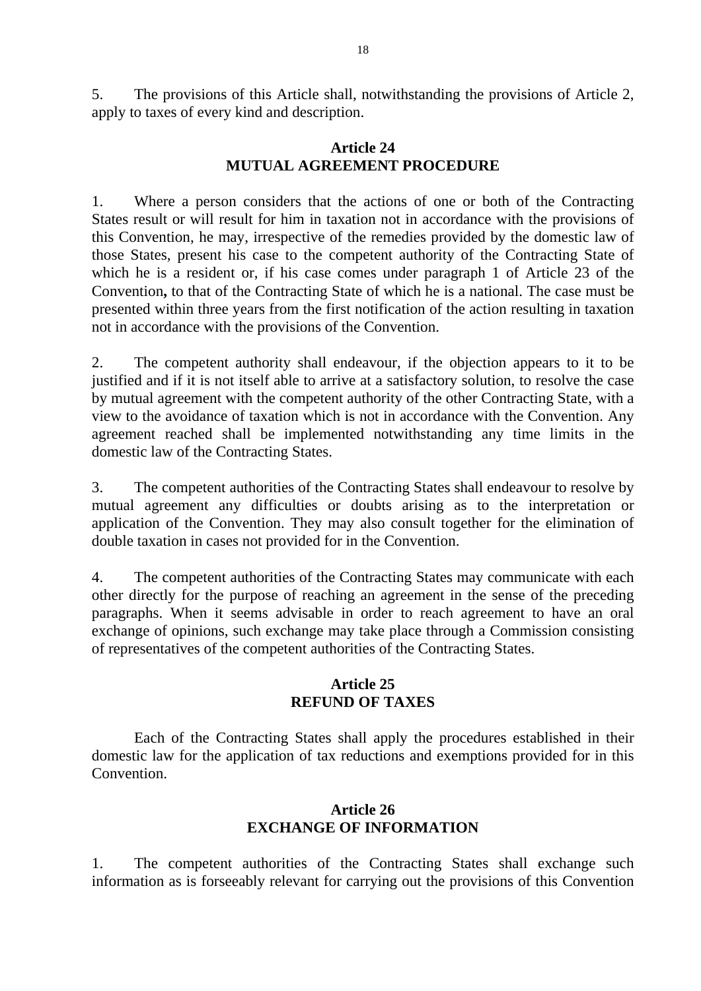5. The provisions of this Article shall, notwithstanding the provisions of Article 2, apply to taxes of every kind and description.

## **Article 24 MUTUAL AGREEMENT PROCEDURE**

1. Where a person considers that the actions of one or both of the Contracting States result or will result for him in taxation not in accordance with the provisions of this Convention, he may, irrespective of the remedies provided by the domestic law of those States, present his case to the competent authority of the Contracting State of which he is a resident or, if his case comes under paragraph 1 of Article 23 of the Convention**,** to that of the Contracting State of which he is a national. The case must be presented within three years from the first notification of the action resulting in taxation not in accordance with the provisions of the Convention.

2. The competent authority shall endeavour, if the objection appears to it to be justified and if it is not itself able to arrive at a satisfactory solution, to resolve the case by mutual agreement with the competent authority of the other Contracting State, with a view to the avoidance of taxation which is not in accordance with the Convention. Any agreement reached shall be implemented notwithstanding any time limits in the domestic law of the Contracting States.

3. The competent authorities of the Contracting States shall endeavour to resolve by mutual agreement any difficulties or doubts arising as to the interpretation or application of the Convention. They may also consult together for the elimination of double taxation in cases not provided for in the Convention.

4. The competent authorities of the Contracting States may communicate with each other directly for the purpose of reaching an agreement in the sense of the preceding paragraphs. When it seems advisable in order to reach agreement to have an oral exchange of opinions, such exchange may take place through a Commission consisting of representatives of the competent authorities of the Contracting States.

## **Article 25 REFUND OF TAXES**

Each of the Contracting States shall apply the procedures established in their domestic law for the application of tax reductions and exemptions provided for in this Convention.

## **Article 26 EXCHANGE OF INFORMATION**

1. The competent authorities of the Contracting States shall exchange such information as is forseeably relevant for carrying out the provisions of this Convention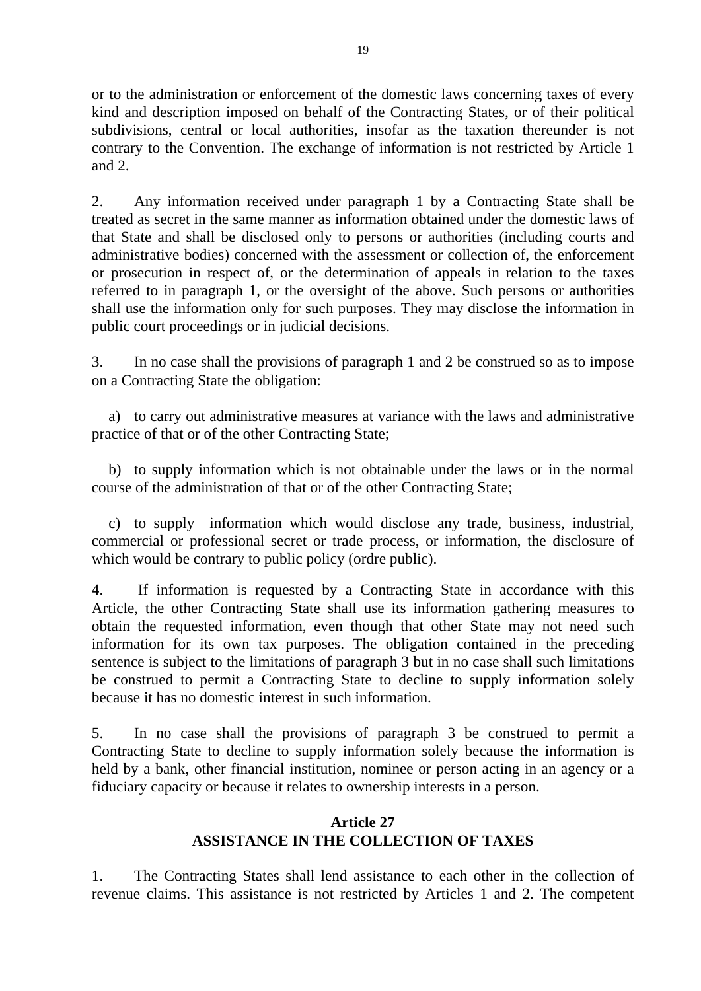or to the administration or enforcement of the domestic laws concerning taxes of every kind and description imposed on behalf of the Contracting States, or of their political subdivisions, central or local authorities, insofar as the taxation thereunder is not contrary to the Convention. The exchange of information is not restricted by Article 1 and 2.

2. Any information received under paragraph 1 by a Contracting State shall be treated as secret in the same manner as information obtained under the domestic laws of that State and shall be disclosed only to persons or authorities (including courts and administrative bodies) concerned with the assessment or collection of, the enforcement or prosecution in respect of, or the determination of appeals in relation to the taxes referred to in paragraph 1, or the oversight of the above. Such persons or authorities shall use the information only for such purposes. They may disclose the information in public court proceedings or in judicial decisions.

3. In no case shall the provisions of paragraph 1 and 2 be construed so as to impose on a Contracting State the obligation:

a) to carry out administrative measures at variance with the laws and administrative practice of that or of the other Contracting State;

b) to supply information which is not obtainable under the laws or in the normal course of the administration of that or of the other Contracting State;

c) to supply information which would disclose any trade, business, industrial, commercial or professional secret or trade process, or information, the disclosure of which would be contrary to public policy (ordre public).

4. If information is requested by a Contracting State in accordance with this Article, the other Contracting State shall use its information gathering measures to obtain the requested information, even though that other State may not need such information for its own tax purposes. The obligation contained in the preceding sentence is subject to the limitations of paragraph 3 but in no case shall such limitations be construed to permit a Contracting State to decline to supply information solely because it has no domestic interest in such information.

5. In no case shall the provisions of paragraph 3 be construed to permit a Contracting State to decline to supply information solely because the information is held by a bank, other financial institution, nominee or person acting in an agency or a fiduciary capacity or because it relates to ownership interests in a person.

#### **Article 27 ASSISTANCE IN THE COLLECTION OF TAXES**

1. The Contracting States shall lend assistance to each other in the collection of revenue claims. This assistance is not restricted by Articles 1 and 2. The competent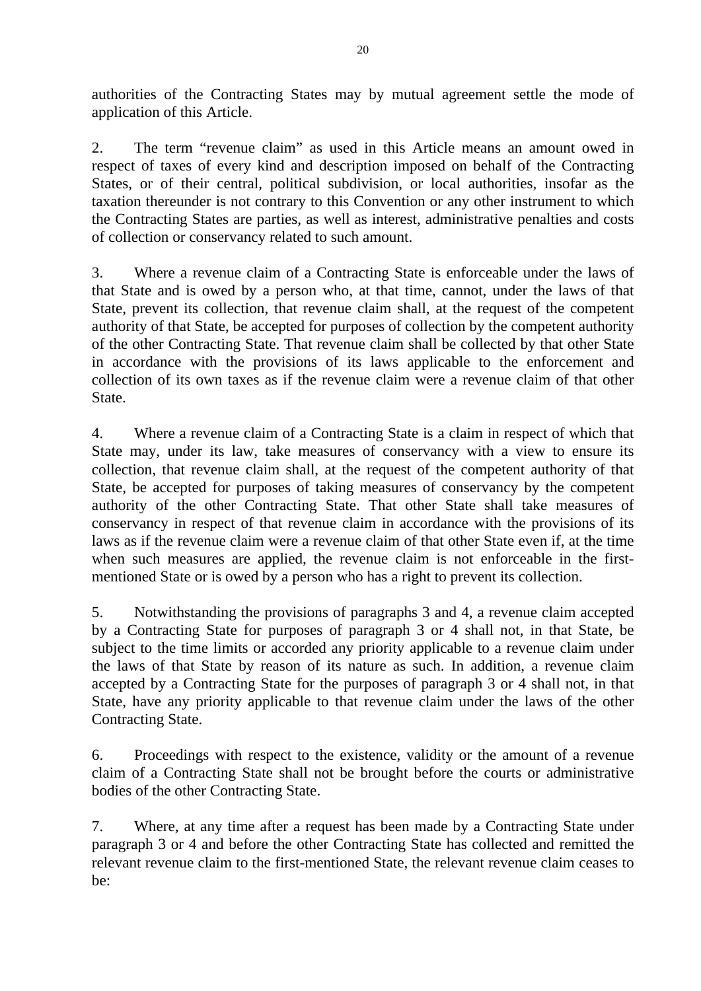authorities of the Contracting States may by mutual agreement settle the mode of application of this Article.

2. The term "revenue claim" as used in this Article means an amount owed in respect of taxes of every kind and description imposed on behalf of the Contracting States, or of their central, political subdivision, or local authorities, insofar as the taxation thereunder is not contrary to this Convention or any other instrument to which the Contracting States are parties, as well as interest, administrative penalties and costs of collection or conservancy related to such amount.

3. Where a revenue claim of a Contracting State is enforceable under the laws of that State and is owed by a person who, at that time, cannot, under the laws of that State, prevent its collection, that revenue claim shall, at the request of the competent authority of that State, be accepted for purposes of collection by the competent authority of the other Contracting State. That revenue claim shall be collected by that other State in accordance with the provisions of its laws applicable to the enforcement and collection of its own taxes as if the revenue claim were a revenue claim of that other State.

4. Where a revenue claim of a Contracting State is a claim in respect of which that State may, under its law, take measures of conservancy with a view to ensure its collection, that revenue claim shall, at the request of the competent authority of that State, be accepted for purposes of taking measures of conservancy by the competent authority of the other Contracting State. That other State shall take measures of conservancy in respect of that revenue claim in accordance with the provisions of its laws as if the revenue claim were a revenue claim of that other State even if, at the time when such measures are applied, the revenue claim is not enforceable in the firstmentioned State or is owed by a person who has a right to prevent its collection.

5. Notwithstanding the provisions of paragraphs 3 and 4, a revenue claim accepted by a Contracting State for purposes of paragraph 3 or 4 shall not, in that State, be subject to the time limits or accorded any priority applicable to a revenue claim under the laws of that State by reason of its nature as such. In addition, a revenue claim accepted by a Contracting State for the purposes of paragraph 3 or 4 shall not, in that State, have any priority applicable to that revenue claim under the laws of the other Contracting State.

6. Proceedings with respect to the existence, validity or the amount of a revenue claim of a Contracting State shall not be brought before the courts or administrative bodies of the other Contracting State.

7. Where, at any time after a request has been made by a Contracting State under paragraph 3 or 4 and before the other Contracting State has collected and remitted the relevant revenue claim to the first-mentioned State, the relevant revenue claim ceases to be: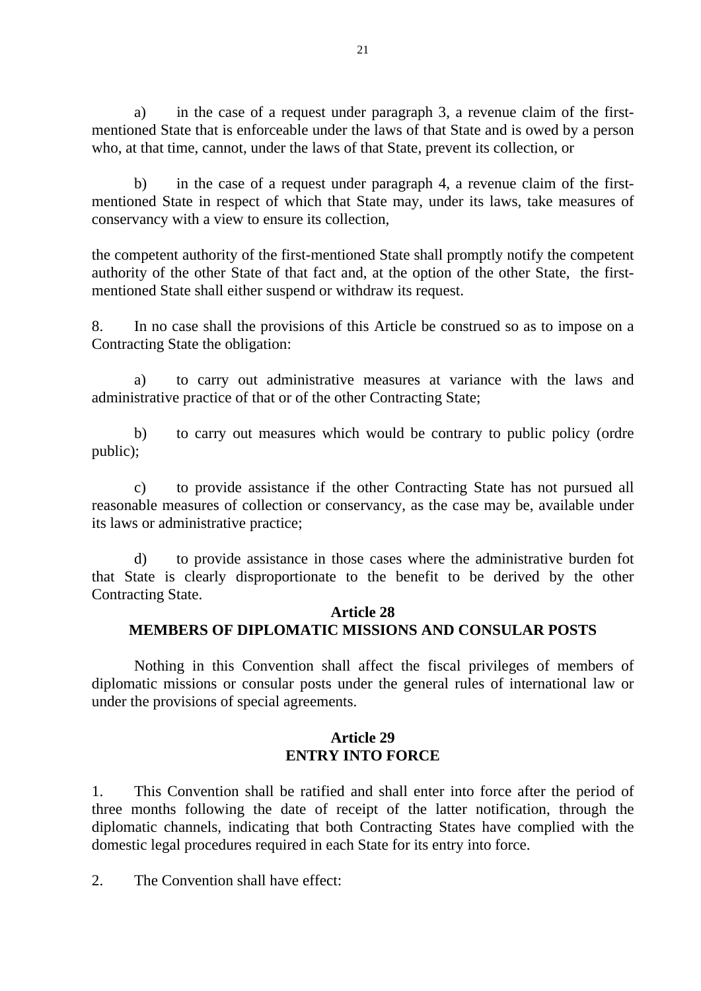a) in the case of a request under paragraph 3, a revenue claim of the firstmentioned State that is enforceable under the laws of that State and is owed by a person who, at that time, cannot, under the laws of that State, prevent its collection, or

 b) in the case of a request under paragraph 4, a revenue claim of the firstmentioned State in respect of which that State may, under its laws, take measures of conservancy with a view to ensure its collection,

the competent authority of the first-mentioned State shall promptly notify the competent authority of the other State of that fact and, at the option of the other State, the firstmentioned State shall either suspend or withdraw its request.

8. In no case shall the provisions of this Article be construed so as to impose on a Contracting State the obligation:

 a) to carry out administrative measures at variance with the laws and administrative practice of that or of the other Contracting State;

 b) to carry out measures which would be contrary to public policy (ordre public);

 c) to provide assistance if the other Contracting State has not pursued all reasonable measures of collection or conservancy, as the case may be, available under its laws or administrative practice;

 d) to provide assistance in those cases where the administrative burden fot that State is clearly disproportionate to the benefit to be derived by the other Contracting State.

#### **Article 28 MEMBERS OF DIPLOMATIC MISSIONS AND CONSULAR POSTS**

 Nothing in this Convention shall affect the fiscal privileges of members of diplomatic missions or consular posts under the general rules of international law or under the provisions of special agreements.

## **Article 29 ENTRY INTO FORCE**

1. This Convention shall be ratified and shall enter into force after the period of three months following the date of receipt of the latter notification, through the diplomatic channels, indicating that both Contracting States have complied with the domestic legal procedures required in each State for its entry into force.

2. The Convention shall have effect: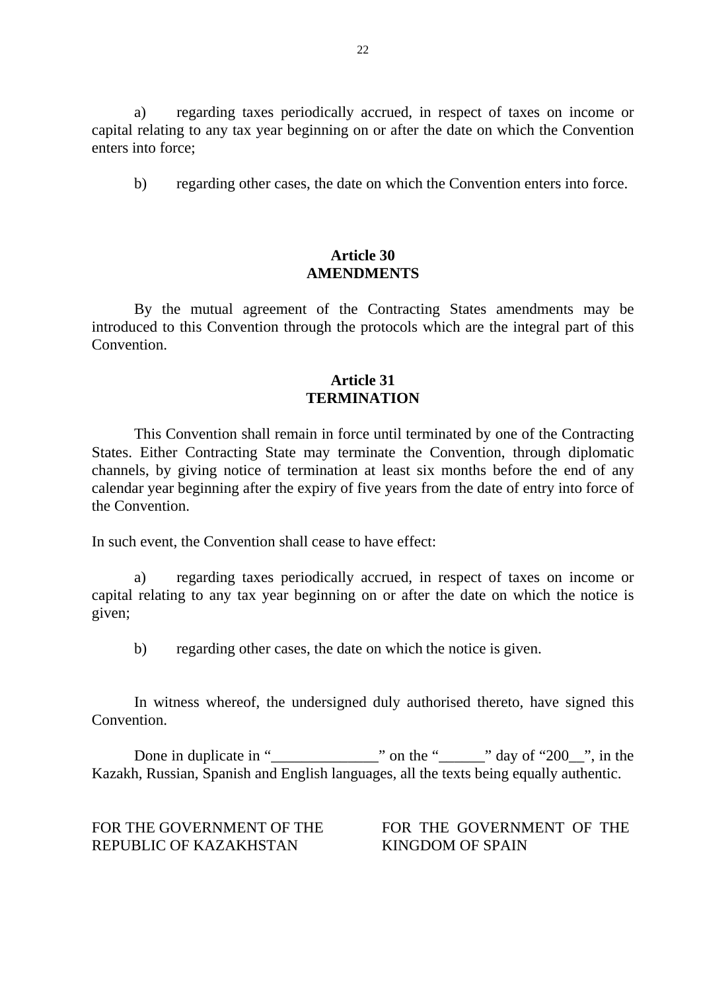a) regarding taxes periodically accrued, in respect of taxes on income or capital relating to any tax year beginning on or after the date on which the Convention enters into force;

b) regarding other cases, the date on which the Convention enters into force.

#### **Article 30 AMENDMENTS**

 By the mutual agreement of the Contracting States amendments may be introduced to this Convention through the protocols which are the integral part of this **Convention** 

#### **Article 31 TERMINATION**

 This Convention shall remain in force until terminated by one of the Contracting States. Either Contracting State may terminate the Convention, through diplomatic channels, by giving notice of termination at least six months before the end of any calendar year beginning after the expiry of five years from the date of entry into force of the Convention.

In such event, the Convention shall cease to have effect:

 a) regarding taxes periodically accrued, in respect of taxes on income or capital relating to any tax year beginning on or after the date on which the notice is given;

b) regarding other cases, the date on which the notice is given.

In witness whereof, the undersigned duly authorised thereto, have signed this Convention.

Done in duplicate in "<sup>'</sup> on the "<sup>1</sup> day of "200<sup>"</sup>, in the Kazakh, Russian, Spanish and English languages, all the texts being equally authentic.

FOR THE GOVERNMENT OF THE REPUBLIC OF KAZAKHSTAN

FOR THE GOVERNMENT OF THE KINGDOM OF SPAIN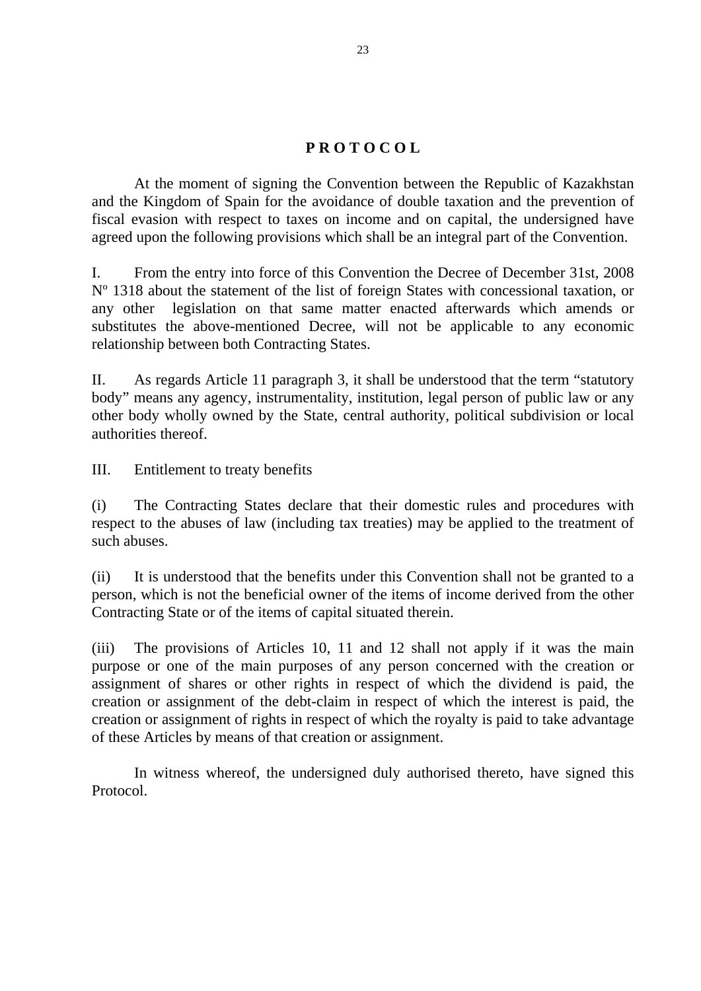### **P R O T O C O L**

At the moment of signing the Convention between the Republic of Kazakhstan and the Kingdom of Spain for the avoidance of double taxation and the prevention of fiscal evasion with respect to taxes on income and on capital, the undersigned have agreed upon the following provisions which shall be an integral part of the Convention.

I. From the entry into force of this Convention the Decree of December 31st, 2008 Nº 1318 about the statement of the list of foreign States with concessional taxation, or any other legislation on that same matter enacted afterwards which amends or substitutes the above-mentioned Decree, will not be applicable to any economic relationship between both Contracting States.

II. As regards Article 11 paragraph 3, it shall be understood that the term "statutory body" means any agency, instrumentality, institution, legal person of public law or any other body wholly owned by the State, central authority, political subdivision or local authorities thereof.

III. Entitlement to treaty benefits

(i) The Contracting States declare that their domestic rules and procedures with respect to the abuses of law (including tax treaties) may be applied to the treatment of such abuses.

(ii) It is understood that the benefits under this Convention shall not be granted to a person, which is not the beneficial owner of the items of income derived from the other Contracting State or of the items of capital situated therein.

(iii) The provisions of Articles 10, 11 and 12 shall not apply if it was the main purpose or one of the main purposes of any person concerned with the creation or assignment of shares or other rights in respect of which the dividend is paid, the creation or assignment of the debt-claim in respect of which the interest is paid, the creation or assignment of rights in respect of which the royalty is paid to take advantage of these Articles by means of that creation or assignment.

In witness whereof, the undersigned duly authorised thereto, have signed this Protocol.